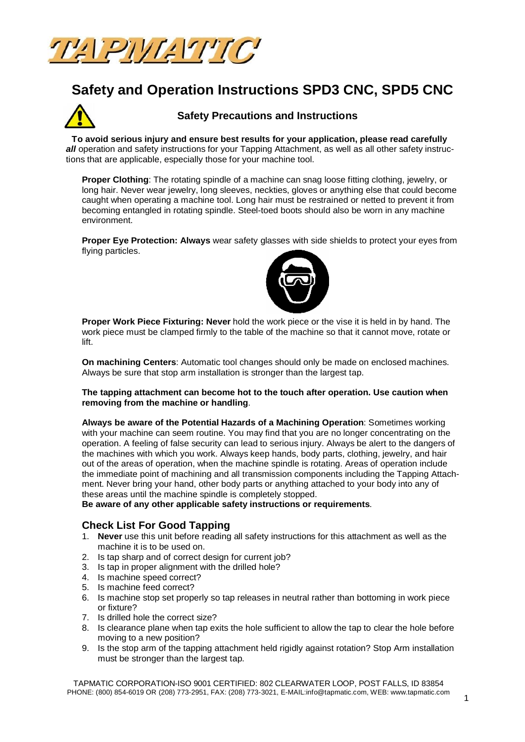

# **Safety and Operation Instructions SPD3 CNC, SPD5 CNC**



## **Safety Precautions and Instructions**

 **To avoid serious injury and ensure best results for your application, please read carefully**  all operation and safety instructions for your Tapping Attachment, as well as all other safety instructions that are applicable, especially those for your machine tool.

**Proper Clothing**: The rotating spindle of a machine can snag loose fitting clothing, jewelry, or long hair. Never wear jewelry, long sleeves, neckties, gloves or anything else that could become caught when operating a machine tool. Long hair must be restrained or netted to prevent it from becoming entangled in rotating spindle. Steel-toed boots should also be worn in any machine environment.

**Proper Eye Protection: Always** wear safety glasses with side shields to protect your eyes from flying particles.



**Proper Work Piece Fixturing: Never** hold the work piece or the vise it is held in by hand. The work piece must be clamped firmly to the table of the machine so that it cannot move, rotate or lift.

**On machining Centers**: Automatic tool changes should only be made on enclosed machines. Always be sure that stop arm installation is stronger than the largest tap.

### **The tapping attachment can become hot to the touch after operation. Use caution when removing from the machine or handling**.

**Always be aware of the Potential Hazards of a Machining Operation**: Sometimes working with your machine can seem routine. You may find that you are no longer concentrating on the operation. A feeling of false security can lead to serious injury. Always be alert to the dangers of the machines with which you work. Always keep hands, body parts, clothing, jewelry, and hair out of the areas of operation, when the machine spindle is rotating. Areas of operation include the immediate point of machining and all transmission components including the Tapping Attachment. Never bring your hand, other body parts or anything attached to your body into any of these areas until the machine spindle is completely stopped.

**Be aware of any other applicable safety instructions or requirements**.

## **Check List For Good Tapping**

- 1. **Never** use this unit before reading all safety instructions for this attachment as well as the machine it is to be used on.
- 2. Is tap sharp and of correct design for current job?
- 3. Is tap in proper alignment with the drilled hole?
- 4. Is machine speed correct?
- 5. Is machine feed correct?
- 6. Is machine stop set properly so tap releases in neutral rather than bottoming in work piece or fixture?
- 7. Is drilled hole the correct size?
- 8. Is clearance plane when tap exits the hole sufficient to allow the tap to clear the hole before moving to a new position?
- 9. Is the stop arm of the tapping attachment held rigidly against rotation? Stop Arm installation must be stronger than the largest tap.

TAPMATIC CORPORATION-ISO 9001 CERTIFIED: 802 CLEARWATER LOOP, POST FALLS, ID 83854 PHONE: (800) 854-6019 OR (208) 773-2951, FAX: (208) 773-3021, [E-MAIL:info@tapmatic.com,](mailto:E-MAIL:info@tapmatic.com,) WEB: [www.tapmatic.com](http://www.tapmatic.com)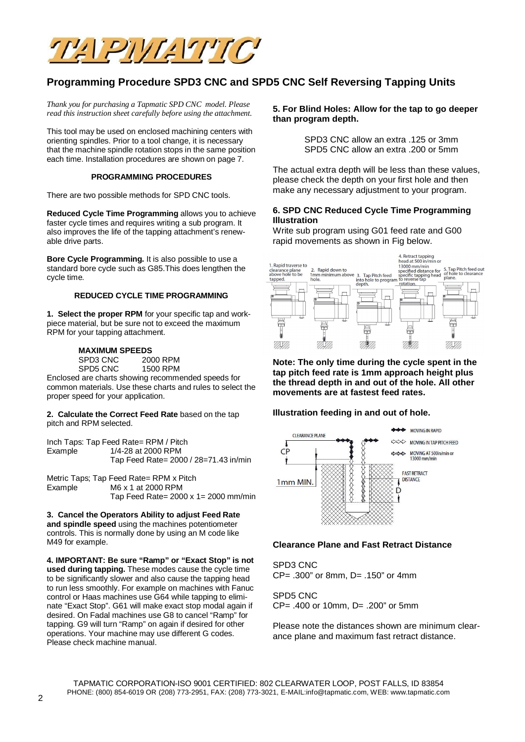

# **Programming Procedure SPD3 CNC and SPD5 CNC Self Reversing Tapping Units**

*Thank you for purchasing a Tapmatic SPD CNC model. Please read this instruction sheet carefully before using the attachment.*

This tool may be used on enclosed machining centers with orienting spindles. Prior to a tool change, it is necessary that the machine spindle rotation stops in the same position each time. Installation procedures are shown on page 7.

#### **PROGRAMMING PROCEDURES**

There are two possible methods for SPD CNC tools.

**Reduced Cycle Time Programming** allows you to achieve faster cycle times and requires writing a sub program. It also improves the life of the tapping attachment's renewable drive parts.

**Bore Cycle Programming.** It is also possible to use a standard bore cycle such as G85.This does lengthen the cycle time.

#### **REDUCED CYCLE TIME PROGRAMMING**

**1. Select the proper RPM** for your specific tap and workpiece material, but be sure not to exceed the maximum RPM for your tapping attachment.

#### **MAXIMUM SPEEDS**

SPD3 CNC 2000 RPM SPD5 CNC 1500 RPM

Enclosed are charts showing recommended speeds for common materials. Use these charts and rules to select the proper speed for your application.

**2. Calculate the Correct Feed Rate** based on the tap pitch and RPM selected.

Inch Taps: Tap Feed Rate= RPM / Pitch Example 1/4-28 at 2000 RPM Tap Feed Rate= 2000 / 28=71.43 in/min

Metric Taps; Tap Feed Rate= RPM x Pitch<br>Example M6 x 1 at 2000 RPM M6 x 1 at 2000 RPM Tap Feed Rate= 2000 x 1= 2000 mm/min

**3. Cancel the Operators Ability to adjust Feed Rate and spindle speed** using the machines potentiometer controls. This is normally done by using an M code like M49 for example.

**4. IMPORTANT: Be sure "Ramp" or "Exact Stop" is not used during tapping.** These modes cause the cycle time to be significantly slower and also cause the tapping head to run less smoothly. For example on machines with Fanuc control or Haas machines use G64 while tapping to eliminate "Exact Stop". G61 will make exact stop modal again if desired. On Fadal machines use G8 to cancel "Ramp" for tapping. G9 will turn "Ramp" on again if desired for other operations. Your machine may use different G codes. Please check machine manual.

### **5. For Blind Holes: Allow for the tap to go deeper than program depth.**

SPD3 CNC allow an extra .125 or 3mm SPD5 CNC allow an extra .200 or 5mm

The actual extra depth will be less than these values, please check the depth on your first hole and then make any necessary adjustment to your program.

### **6. SPD CNC Reduced Cycle Time Programming Illustration**

Write sub program using G01 feed rate and G00 rapid movements as shown in Fig below.



**Note: The only time during the cycle spent in the tap pitch feed rate is 1mm approach height plus the thread depth in and out of the hole. All other movements are at fastest feed rates.**

### **Illustration feeding in and out of hole.**



### **Clearance Plane and Fast Retract Distance**

SPD3 CNC CP= .300" or 8mm, D= .150" or 4mm

SPD5 CNC CP= .400 or 10mm, D= .200" or 5mm

Please note the distances shown are minimum clearance plane and maximum fast retract distance.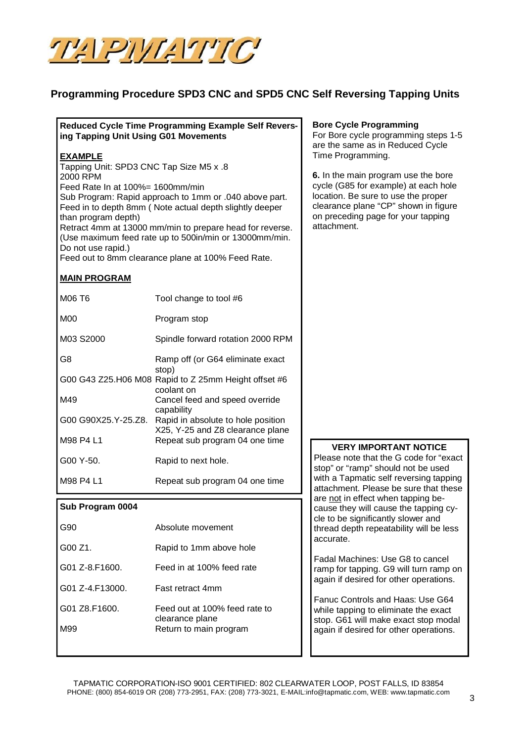

# **Programming Procedure SPD3 CNC and SPD5 CNC Self Reversing Tapping Units**

## **Reduced Cycle Time Programming Example Self Reversing Tapping Unit Using G01 Movements**

## **EXAMPLE**

Tapping Unit: SPD3 CNC Tap Size M5 x .8 2000 RPM Feed Rate In at 100%= 1600mm/min Sub Program: Rapid approach to 1mm or .040 above part. Feed in to depth 8mm ( Note actual depth slightly deeper than program depth) Retract 4mm at 13000 mm/min to prepare head for reverse. (Use maximum feed rate up to 500in/min or 13000mm/min. Do not use rapid.)

Feed out to 8mm clearance plane at 100% Feed Rate.

## **MAIN PROGRAM**

| M06 T6              | Tool change to tool #6                                                      |  |
|---------------------|-----------------------------------------------------------------------------|--|
| M <sub>0</sub>      | Program stop                                                                |  |
| M03 S2000           | Spindle forward rotation 2000 RPM                                           |  |
| G8                  | Ramp off (or G64 eliminate exact                                            |  |
|                     | stop)<br>G00 G43 Z25.H06 M08 Rapid to Z 25mm Height offset #6<br>coolant on |  |
| M49                 | Cancel feed and speed override                                              |  |
| G00 G90X25.Y-25.Z8. | capability<br>Rapid in absolute to hole position                            |  |
| M98 P4 L1           | X25, Y-25 and Z8 clearance plane<br>Repeat sub program 04 one time          |  |
| G00 Y-50.           | Rapid to next hole.                                                         |  |
| M98 P4 L1           | Repeat sub program 04 one time                                              |  |

### **Sub Program 0004**

| G90                | Absolute movement                                |
|--------------------|--------------------------------------------------|
| G00Z1.             | Rapid to 1mm above hole                          |
| $G01 Z - 8 F1600.$ | Feed in at 100% feed rate                        |
| G01 Z-4 F13000.    | <b>Fast retract 4mm</b>                          |
| G01 Z8.F1600.      | Feed out at 100% feed rate to<br>clearance plane |
| M99                | Return to main program                           |
|                    |                                                  |

## **Bore Cycle Programming**

For Bore cycle programming steps 1-5 are the same as in Reduced Cycle Time Programming.

**6.** In the main program use the bore cycle (G85 for example) at each hole location. Be sure to use the proper clearance plane "CP" shown in figure on preceding page for your tapping attachment.

## **VERY IMPORTANT NOTICE**

Please note that the G code for "exact stop" or "ramp" should not be used with a Tapmatic self reversing tapping attachment. Please be sure that these are not in effect when tapping because they will cause the tapping cycle to be significantly slower and thread depth repeatability will be less accurate.

Fadal Machines: Use G8 to cancel ramp for tapping. G9 will turn ramp on again if desired for other operations.

Fanuc Controls and Haas: Use G64 while tapping to eliminate the exact stop. G61 will make exact stop modal again if desired for other operations.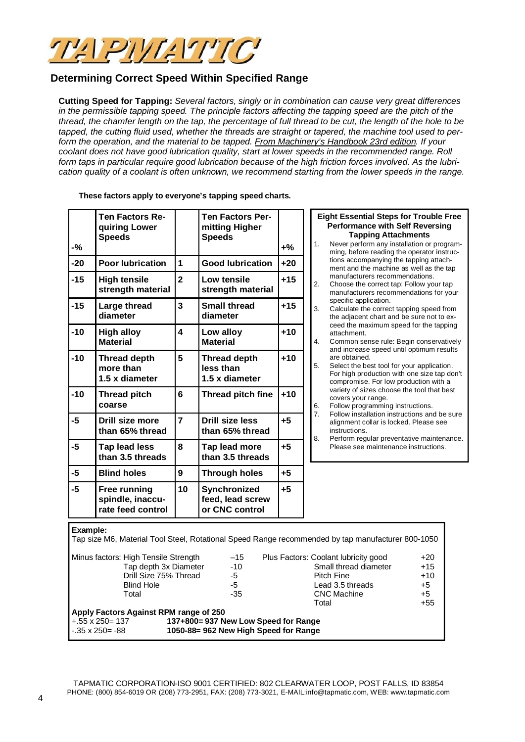

# **Determining Correct Speed Within Specified Range**

**Cutting Speed for Tapping:** *Several factors, singly or in combination can cause very great differences in the permissible tapping speed. The principle factors affecting the tapping speed are the pitch of the thread, the chamfer length on the tap, the percentage of full thread to be cut, the length of the hole to be tapped, the cutting fluid used, whether the threads are straight or tapered, the machine tool used to perform the operation, and the material to be tapped. From Machinery's Handbook 23rd edition. If your coolant does not have good lubrication quality, start at lower speeds in the recommended range. Roll form taps in particular require good lubrication because of the high friction forces involved. As the lubrication quality of a coolant is often unknown, we recommend starting from the lower speeds in the range.*

| -%       | <b>Ten Factors Re-</b><br>quiring Lower<br><b>Speeds</b> |                                                         | <b>Ten Factors Per-</b><br>mitting Higher<br><b>Speeds</b> | $+$ % |                           | 1.                                                                                                                                           | <b>Eight Essential Steps for Trouble Free</b><br><b>Performance with Self Reversing</b><br><b>Tapping Attachments</b><br>Never perform any installation or program-<br>ming, before reading the operator instruc- |
|----------|----------------------------------------------------------|---------------------------------------------------------|------------------------------------------------------------|-------|---------------------------|----------------------------------------------------------------------------------------------------------------------------------------------|-------------------------------------------------------------------------------------------------------------------------------------------------------------------------------------------------------------------|
| $-20$    | <b>Poor lubrication</b>                                  | $\mathbf{1}$                                            | <b>Good lubrication</b>                                    | $+20$ |                           |                                                                                                                                              | tions accompanying the tapping attach-<br>ment and the machine as well as the tap                                                                                                                                 |
| $-15$    | <b>High tensile</b><br>strength material                 | $\overline{2}$                                          | Low tensile<br>strength material                           | $+15$ |                           | 2.                                                                                                                                           | manufacturers recommendations.<br>Choose the correct tap: Follow your tap<br>manufacturers recommendations for your                                                                                               |
| $-15$    | Large thread<br>diameter                                 | $\overline{\mathbf{3}}$                                 | <b>Small thread</b><br>diameter                            | $+15$ |                           | 3.                                                                                                                                           | specific application.<br>Calculate the correct tapping speed from<br>the adjacent chart and be sure not to ex-                                                                                                    |
| $-10$    | <b>High alloy</b><br><b>Material</b>                     | $\overline{\mathbf{4}}$<br>Low alloy<br><b>Material</b> | $+10$                                                      |       | 4.                        | ceed the maximum speed for the tapping<br>attachment.<br>Common sense rule: Begin conservatively<br>and increase speed until optimum results |                                                                                                                                                                                                                   |
| $-10$    | <b>Thread depth</b><br>more than<br>1.5 x diameter       | 5                                                       | <b>Thread depth</b><br>less than<br>1.5 x diameter         | $+10$ |                           | are obtained.<br>5.                                                                                                                          | Select the best tool for your application.<br>For high production with one size tap don't<br>compromise. For low production with a                                                                                |
| $-10$    | <b>Thread pitch</b><br>coarse                            | $6\phantom{1}$                                          | Thread pitch fine                                          | $+10$ | 6.                        |                                                                                                                                              | variety of sizes choose the tool that best<br>covers your range.<br>Follow programming instructions.                                                                                                              |
| $-5$     | <b>Drill size more</b><br>than 65% thread                | $\overline{7}$                                          | <b>Drill size less</b><br>than 65% thread                  | $+5$  | 7.<br>instructions.<br>8. | Follow installation instructions and be sure<br>alignment collar is locked. Please see<br>Perform regular preventative maintenance.          |                                                                                                                                                                                                                   |
| $-5$     | Tap lead less<br>than 3.5 threads                        | 8                                                       | Tap lead more<br>than 3.5 threads                          | $+5$  |                           |                                                                                                                                              | Please see maintenance instructions.                                                                                                                                                                              |
| $-5$     | <b>Blind holes</b>                                       | 9                                                       | <b>Through holes</b>                                       | $+5$  |                           |                                                                                                                                              |                                                                                                                                                                                                                   |
| $-5$     | Free running<br>spindle, inaccu-<br>rate feed control    | 10                                                      | Synchronized<br>feed, lead screw<br>or CNC control         | $+5$  |                           |                                                                                                                                              |                                                                                                                                                                                                                   |
| Example: |                                                          |                                                         |                                                            |       |                           |                                                                                                                                              | Tap size MR, Material Teel Steel, Petational Speed Range recommended by tap manufacturer 800,1050                                                                                                                 |

ize M6, Material Tool Steel, Rotational Speed Range recommended by tap manufacturer 800-1050 Minus factors: High Tensile Strength  $-15$  Plus Factors: Coolant lubricity good  $+20$ Tap depth 3x Diameter  $-10$  Small thread diameter  $+15$ Drill Size 75% Thread  $-5$  Pitch Fine  $+10$ Blind Hole -5 Lead 3.5 threads -5<br>
Total -35 CNC Machine -5 CNC Machine  $+5$ <br>Total  $+55$ **Total Apply Factors Against RPM range of 250** +.55 x 250= 137 **137+800= 937 New Low Speed for Range** 1050-88= 962 New High Speed for Range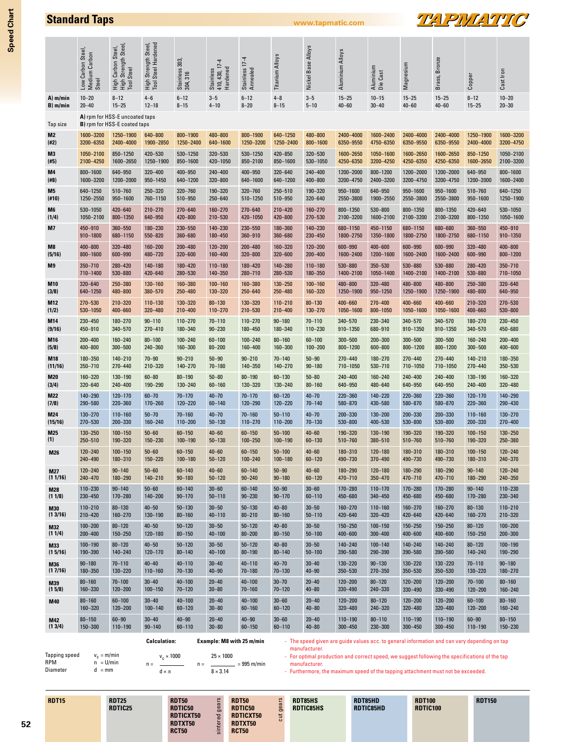|            | Low Carbon Steel,<br>Medium Carbon<br>Steel | High Carbon Steel,<br>High Strength Steel,<br>Tool Steel       | High Strength Steel,<br>Tool Steel Hardened | Stainless 303,<br>304, 316 | Stainless<br>410, 430, 17-4<br>Hardened | Stainless 17-4<br>Annealed | Titanium Alloys | Nickel Base Alloys | Aluminium Alloys | Aluminium<br>Die Cast | Magnesium   | Brass, Bronze | Copper      | Cast Iron   |
|------------|---------------------------------------------|----------------------------------------------------------------|---------------------------------------------|----------------------------|-----------------------------------------|----------------------------|-----------------|--------------------|------------------|-----------------------|-------------|---------------|-------------|-------------|
| A) m/min   | $10 - 20$                                   | $8 - 12$                                                       | $4 - 6$                                     | $6 - 12$                   | $3 - 5$                                 | $6 - 12$                   | $4 - 8$         | $3 - 5$            | $15 - 25$        | $10 - 15$             | $15 - 25$   | $15 - 25$     | $8 - 12$    | $10 - 20$   |
| B) m/min   | $20 - 40$                                   | $15 - 25$                                                      | $12 - 18$                                   | $8 - 15$                   | $4 - 10$                                | $8 - 20$                   | $8 - 15$        | $5 - 10$           | $40 - 60$        | $30 - 40$             | $40 - 60$   | $40 - 60$     | $15 - 25$   | $20 - 30$   |
| Tap size   |                                             | A) rpm for HSS-E uncoated taps<br>B) rpm for HSS-E coated taps |                                             |                            |                                         |                            |                 |                    |                  |                       |             |               |             |             |
| M2         | 1600-3200                                   | 1250-1900                                                      | 640-800                                     | 800-1900                   | 480-800                                 | 800-1900                   | 640-1250        | 480-800            | 2400-4000        | 1600-2400             | 2400-4000   | 2400-4000     | 1250-1900   | 1600-3200   |
| (#2)       | 3200-6350                                   | 2400-4000                                                      | 1900-2850                                   | 1250-2400                  | 640-1600                                | 1250-3200                  | 1250-2400       | 800-1600           | 6350-9550        | 4750-6350             | 6350-9550   | 6350-9550     | 2400-4000   | 3200-4750   |
| M3         | 1050-2100                                   | 850-1250                                                       | 420-530                                     | 530-1250                   | 320-530                                 | 530-1250                   | 420-850         | 320-530            | 1600-2650        | 1050-1600             | 1600-2650   | 1600-2650     | 850-1250    | 1050-2100   |
| (#5)       | 2100-4250                                   | 1600-2650                                                      | 1250-1900                                   | 850-1600                   | 420-1050                                | 850-2100                   | 850-1600        | 530-1050           | 4250-6350        | 3200-4250             | 4250-6350   | 4250-6350     | 1600-2650   | 2100-3200   |
| M4         | 800-1600                                    | 640-950                                                        | 320-400                                     | 400-950                    | 240-400                                 | 400-950                    | 320-640         | 240-400            | 1200-2000        | 800-1200              | 1200-2000   | 1200-2000     | 640-950     | 800-1600    |
| (#8)       | 1600-3200                                   | 1200-2000                                                      | 950-1450                                    | 640-1200                   | 320-800                                 | 640-1600                   | 640-1200        | 400-800            | 3200-4750        | 2400-3200             | 3200-4750   | 3200-4750     | 1200-2000   | 1600-2400   |
| M5         | 640-1250                                    | 510-760                                                        | 250-320                                     | 320-760                    | 190-320                                 | 320-760                    | 250-510         | 190-320            | 950-1600         | 640-950               | 950-1600    | 950-1600      | 510-760     | 640-1250    |
| (#10)      | 1250-2550                                   | 950-1600                                                       | 760-1150                                    | 510-950                    | 250-640                                 | 510-1250                   | 510-950         | 320-640            | 2550-3800        | 1900-2550             | 2550-3800   | 2550-3800     | 950-1600    | 1250-1900   |
| M6         | 530-1050                                    | 420-640                                                        | $210 - 270$                                 | 270-640                    | 160-270                                 | 270-640                    | 210-420         | 160-270            | 800-1350         | 530-800               | 800-1350    | 800-1350      | 420-640     | 530-1050    |
| (1/4)      | 1050-2100                                   | 800-1350                                                       | 640-950                                     | 420-800                    | 210-530                                 | 420-1050                   | 420-800         | 270-530            | 2100-3200        | 1600-2100             | 2100-3200   | 2100-3200     | 800-1350    | 1050-1600   |
| M7         | 450-910                                     | 360-550                                                        | 180-230                                     | 230-550                    | 140-230                                 | 230-550                    | 180-360         | 140-230            | 680-1150         | 450-1150              | 680-1150    | 680-680       | 360-550     | 450-910     |
|            | 910-1800                                    | 680-1150                                                       | 550-820                                     | 360-680                    | 180-450                                 | 360-910                    | 360-680         | 230-450            | 1800-2750        | 1350-1800             | 1800-2750   | 1800-2750     | 680-1150    | 910-1350    |
| M8         | 400-800                                     | 320-480                                                        | $160 - 200$                                 | $200 - 480$                | $120 - 200$                             | $200 - 480$                | 160-320         | $120 - 200$        | 600-990          | 400-600               | 600-990     | 600-990       | 320-480     | $400 - 800$ |
| (5/16)     | 800-1600                                    | 600-990                                                        | 480-720                                     | $320 - 600$                | 160-400                                 | 320-800                    | 320-600         | $200 - 400$        | 1600-2400        | 1200-1600             | 1600-2400   | 1600-2400     | 600-990     | 800-1200    |
| M9         | 350-710                                     | 280-420                                                        | 140-180                                     | 180-420                    | $110 - 180$                             | 180-420                    | 140-280         | 110-180            | 530-880          | 350-530               | 530-880     | 530-880       | 280-420     | 350-710     |
|            | 710-1400                                    | 530-880                                                        | 420-640                                     | 280-530                    | 140-350                                 | 280-710                    | 280-530         | 180-350            | 1400-2100        | 1050-1400             | 1400-2100   | 1400-2100     | 530-880     | 710-1050    |
| M10        | 320-640                                     | 250-380                                                        | 130-160                                     | 160-380                    | $100 - 160$                             | 160-380                    | 130-250         | $100 - 160$        | 480-800          | 320-480               | 480-800     | 480-800       | 250-380     | 320-640     |
| (3/8)      | 640-1250                                    | 480-800                                                        | 380-570                                     | 250-480                    | 130-320                                 | 250-640                    | 250-480         | 160-320            | 1250-1900        | 950-1250              | 1250-1900   | 1250-1900     | 480-800     | 640-950     |
| M12        | 270-530                                     | 210-320                                                        | $110 - 130$                                 | 130-320                    | $80 - 130$                              | 130-320                    | 110-210         | $80 - 130$         | 400-660          | $270 - 400$           | 400-660     | 400-660       | 210-320     | 270-530     |
| (1/2)      | 530-1050                                    | 400-660                                                        | 320-480                                     | $210 - 400$                | $110 - 270$                             | 210-530                    | 210-400         | 130-270            | 1050-1600        | 800-1050              | 1050-1600   | 1050-1600     | 400-660     | 530-800     |
| M14        | 230-450                                     | 180-270                                                        | $90 - 110$                                  | $110 - 270$                | $70 - 110$                              | $110 - 270$                | $90 - 180$      | $70 - 110$         | 340-570          | 230-340               | 340-570     | 340-570       | 180-270     | 230-450     |
| (9/16)     | 450-910                                     | 340-570                                                        | 270-410                                     | 180-340                    | $90 - 230$                              | 180-450                    | 180-340         | 110-230            | 910-1350         | 680-910               | 910-1350    | 910-1350      | 340-570     | 450-680     |
| M16        | $200 - 400$                                 | 160-240                                                        | $80 - 100$                                  | $100 - 240$                | $60 - 100$                              | $100 - 240$                | $80 - 160$      | $60 - 100$         | 300-500          | 200-300               | $300 - 500$ | $300 - 500$   | 160-240     | $200 - 400$ |
| (5/8)      | 400-800                                     | $300 - 500$                                                    | 240-360                                     | 160-300                    | $80 - 200$                              | 160-400                    | 160-300         | $100 - 200$        | 800-1200         | 600-800               | 800-1200    | 800-1200      | $300 - 500$ | 400-600     |
| M18        | 180-350                                     | 140-210                                                        | $70 - 90$                                   | $90 - 210$                 | $50 - 90$                               | $90 - 210$                 | $70 - 140$      | $50 - 90$          | $270 - 440$      | 180-270               | 270-440     | $270 - 440$   | $140 - 210$ | 180-350     |
| (11/16)    | 350-710                                     | 270-440                                                        | 210-320                                     | $140 - 270$                | $70 - 180$                              | 140-350                    | 140-270         | $90 - 180$         | 710-1050         | 530-710               | 710-1050    | 710-1050      | 270-440     | 350-530     |
| M20        | 160-320                                     | 130-190                                                        | $60 - 80$                                   | $80 - 190$                 | $50 - 80$                               | $80 - 190$                 | $60 - 130$      | $50 - 80$          | 240-400          | 160-240               | 240-400     | 240-400       | 130-190     | 160-320     |
| (3/4)      | 320-640                                     | 240-400                                                        | 190-290                                     | 130-240                    | $60 - 160$                              | 130-320                    | 130-240         | $80 - 160$         | 640-950          | 480-640               | 640-950     | 640-950       | 240-400     | 320-480     |
| M22        | 140-290                                     | $120 - 170$                                                    | $60 - 70$                                   | $70 - 170$                 | $40 - 70$                               | $70 - 170$                 | $60 - 120$      | $40 - 70$          | 220-360          | 140-220               | 220-360     | 220-360       | 120-170     | 140-290     |
| (7/8)      | 290-580                                     | 220-360                                                        | $170 - 260$                                 | $120 - 220$                | $60 - 140$                              | 120-290                    | 120-220         | $70 - 140$         | 580-870          | 430-580               | 580-870     | 580-870       | 220-360     | 290-430     |
| M24        | $130 - 270$                                 | $110 - 160$                                                    | $50 - 70$                                   | $70 - 160$                 | $40 - 70$                               | $70 - 160$                 | $50 - 110$      | $40 - 70$          | 200-330          | $130 - 200$           | 200-330     | 200-330       | $110 - 160$ | 130-270     |
| (15/16)    | 270-530                                     | 200-330                                                        | 160-240                                     | $110 - 200$                | $50 - 130$                              | $110 - 270$                | $110 - 200$     | $70 - 130$         | 530-800          | 400-530               | 530-800     | 530-800       | 200-330     | 270-400     |
| M25        | 130-250                                     | $100 - 150$                                                    | $50 - 60$                                   | $60 - 150$                 | $40 - 60$                               | $60 - 150$                 | $50 - 100$      | $40 - 60$          | 190-320          | 130-190               | 190-320     | 190-320       | $100 - 150$ | 130-250     |
| (1)        | 250-510                                     | 190-320                                                        | 150-230                                     | 100-190                    | $50 - 130$                              | $100 - 250$                | $100 - 190$     | $60 - 130$         | 510-760          | 380-510               | 510-760     | 510-760       | 190-320     | 250-380     |
| M26        | $120 - 240$                                 | $100 - 150$                                                    | $50 - 60$                                   | $60 - 150$                 | $40 - 60$                               | $60 - 150$                 | $50 - 100$      | $40 - 60$          | 180-310          | 120-180               | 180-310     | 180-310       | $100 - 150$ | $120 - 240$ |
|            | 240-490                                     | 180-310                                                        | $150 - 220$                                 | $100 - 180$                | $50 - 120$                              | $100 - 240$                | $100 - 180$     | $60 - 120$         | 490-730          | 370-490               | 490-730     | 490-730       | 180-310     | 240-370     |
| <b>M27</b> | $120 - 240$                                 | $90 - 140$                                                     | $50 - 60$                                   | $60 - 140$                 | $40 - 60$                               | $60 - 140$                 | $50 - 90$       | $40 - 60$          | 180-290          | $120 - 180$           | 180-290     | 180-290       | $90 - 140$  | $120 - 240$ |
| (11/16)    | 240-470                                     | 180-290                                                        | $140 - 210$                                 | $90 - 180$                 | $50 - 120$                              | $90 - 240$                 | $90 - 180$      | $60 - 120$         | 470-710          | 350-470               | 470-710     | 470-710       | 180-290     | 240-350     |
| <b>M28</b> | $110 - 230$                                 | $90 - 140$                                                     | $50 - 60$                                   | $60 - 140$                 | $30 - 60$                               | $60 - 140$                 | $50 - 90$       | $30 - 60$          | 170-280          | $110 - 170$           | $170 - 280$ | $170 - 280$   | $90 - 140$  | $110 - 230$ |
| (11/8)     | 230-450                                     | 170-280                                                        | $140 - 200$                                 | $90 - 170$                 | $50 - 110$                              | $90 - 230$                 | $90 - 170$      | $60 - 110$         | 450-680          | 340-450               | 450-680     | 450-680       | $170 - 280$ | 230-340     |
| <b>M30</b> | $110 - 210$                                 | $80 - 130$                                                     | $40 - 50$                                   | $50 - 130$                 | $30 - 50$                               | $50 - 130$                 | $40 - 80$       | $30 - 50$          | $160 - 270$      | $110 - 160$           | $160 - 270$ | $160 - 270$   | $80 - 130$  | $110 - 210$ |
| (13/16)    | 210-420                                     | 160-270                                                        | 130-190                                     | $80 - 160$                 | $40 - 110$                              | $80 - 210$                 | $80 - 160$      | $50 - 110$         | 420-640          | 320-420               | $420 - 640$ | 420-640       | $160 - 270$ | 210-320     |
| <b>M32</b> | $100 - 200$                                 | $80 - 120$                                                     | $40 - 50$                                   | $50 - 120$                 | $30 - 50$                               | $50 - 120$                 | $40 - 80$       | $30 - 50$          | $150 - 250$      | $100 - 150$           | $150 - 250$ | $150 - 250$   | $80 - 120$  | $100 - 200$ |
| (11/4)     | $200 - 400$                                 | $150 - 250$                                                    | 120-180                                     | $80 - 150$                 | $40 - 100$                              | $80 - 200$                 | $80 - 150$      | $50 - 100$         | 400-600          | $300 - 400$           | 400-600     | $400 - 600$   | 150-250     | $200 - 300$ |
| M33        | $100 - 190$                                 | $80 - 120$                                                     | $40 - 50$                                   | $50 - 120$                 | $30 - 50$                               | $50 - 120$                 | $40 - 80$       | $30 - 50$          | 140-240          | $100 - 140$           | $140 - 240$ | $140 - 240$   | $80 - 120$  | $100 - 190$ |
| (15/16)    | 190-390                                     | 140-240                                                        | 120-170                                     | $80 - 140$                 | $40 - 100$                              | $80 - 190$                 | $80 - 140$      | $50 - 100$         | 390-580          | 290-390               | 390-580     | 390-580       | $140 - 240$ | 190-290     |
| M36        | $90 - 180$                                  | $70 - 110$                                                     | $40 - 40$                                   | $40 - 110$                 | $30 - 40$                               | $40 - 110$                 | $40 - 70$       | $30 - 40$          | 130-220          | $90 - 130$            | 130-220     | 130 - 220     | $70 - 110$  | $90 - 180$  |
| (17/16)    | 180-350                                     | 130-220                                                        | $110 - 160$                                 | $70 - 130$                 | $40 - 90$                               | $70 - 180$                 | $70 - 130$      | $40 - 90$          | 350-530          | 270-350               | 350-530     | 350-530       | 130-220     | $180 - 270$ |
| M39        | $80 - 160$                                  | $70 - 100$                                                     | $30 - 40$                                   | $40 - 100$                 | $20 - 40$                               | $40 - 100$                 | $30 - 70$       | $20 - 40$          | $120 - 200$      | $80 - 120$            | $120 - 200$ | $120 - 200$   | $70 - 100$  | $80 - 160$  |
| (15/8)     | 160-330                                     | $120 - 200$                                                    | $100 - 150$                                 | $70 - 120$                 | $30 - 80$                               | $70 - 160$                 | $70 - 120$      | $40 - 80$          | 330-490          | 240-330               | 330-490     | 330-490       | $120 - 200$ | $160 - 240$ |
| M40        | $80 - 160$                                  | $60 - 100$                                                     | $30 - 40$                                   | $40 - 100$                 | $20 - 40$                               | $40 - 100$                 | $30 - 60$       | $20 - 40$          | $120 - 200$      | $80 - 120$            | $120 - 200$ | $120 - 200$   | $60 - 100$  | $80 - 160$  |
|            | 160-320                                     | $120 - 200$                                                    | $100 - 140$                                 | $60 - 120$                 | $30 - 80$                               | $60 - 160$                 | $60 - 120$      | $40 - 80$          | 320-480          | 240-320               | 320-480     | 320-480       | $120 - 200$ | $160 - 240$ |
| M42        | $80 - 150$                                  | $60 - 90$                                                      | $30 - 40$                                   | $40 - 90$                  | $20 - 40$                               | $40 - 90$                  | $30 - 60$       | $20 - 40$          | $110 - 190$      | $80 - 110$            | 110-190     | $110 - 190$   | $60 - 90$   | $80 - 150$  |
| (13/4)     | 150-300                                     | $110 - 190$                                                    | $90 - 140$                                  | $60 - 110$                 | $30 - 80$                               | $60 - 150$                 | $60 - 110$      | $40 - 80$          | $300 - 450$      | 230-300               | 300-450     | $300 - 450$   | $110 - 190$ | 150-230     |

**Standard Taps www.tapmatic.com**

Tapping speed  $v_c = m/min$ <br>RPM  $n = U/min$ RPM  $n = U/min$ <br>Diameter  $d = mm$  $d = mm$  $v_c \times 1000$  $n =$  $rac{1}{d \times \pi}$  $n =$  = 995 m/min

**Calculation:**

- The speed given are guide values acc. to general information and can vary depending on tap manufacturer.

**TEVPIVIATIC** 

- For optimal production and correct speed, we suggest following the specifications of the tap manufacturer.

- Furthermore, the maximum speed of the tapping attachment must not be exceeded.

| <b>RDT15</b> | <b>RDT25</b><br>RDTIC25 | <b>RDT50</b><br>RDTIC50<br><b>RDTICXT50</b><br>RDTXT50<br><b>RCT50</b> | S<br>⊢<br>$\sigma$<br>e,<br>Pe<br>ēī<br>$\sin$ | <b>RDT50</b><br>RDTIC50<br>RDTICXT50<br>RDTXT50<br><b>RCT50</b> | S<br>$\overline{\sigma}$<br>$\omega$<br>ā<br>$\Xi$ | <b>RDT85HS</b><br><b>RDTIC85HS</b> | RDT85HD<br>RDTIC85HD | <b>RDT100</b><br><b>RDTIC100</b> | <b>RDT150</b> |
|--------------|-------------------------|------------------------------------------------------------------------|------------------------------------------------|-----------------------------------------------------------------|----------------------------------------------------|------------------------------------|----------------------|----------------------------------|---------------|
|--------------|-------------------------|------------------------------------------------------------------------|------------------------------------------------|-----------------------------------------------------------------|----------------------------------------------------|------------------------------------|----------------------|----------------------------------|---------------|

**Example: M8 with 25 m/min**  $25 \times 1000$ 

 $8 \times 3.14$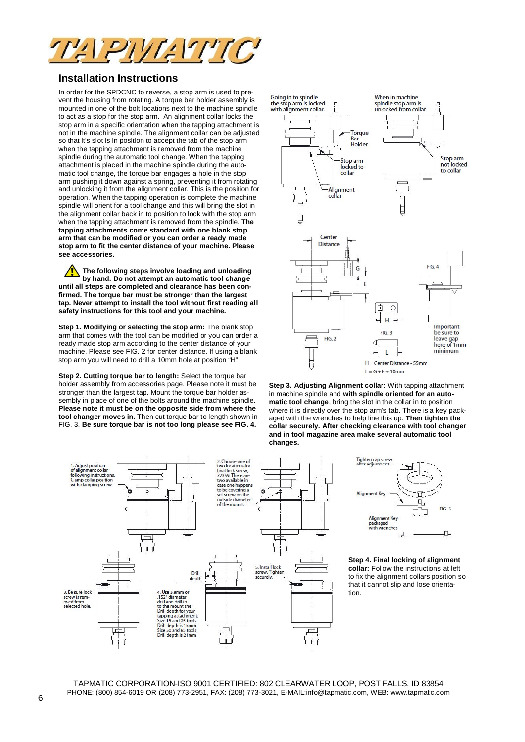

# **Installation Instructions**

In order for the SPDCNC to reverse, a stop arm is used to prevent the housing from rotating. A torque bar holder assembly is mounted in one of the bolt locations next to the machine spindle to act as a stop for the stop arm. An alignment collar locks the stop arm in a specific orientation when the tapping attachment is not in the machine spindle. The alignment collar can be adjusted so that it's slot is in position to accept the tab of the stop arm when the tapping attachment is removed from the machine spindle during the automatic tool change. When the tapping attachment is placed in the machine spindle during the automatic tool change, the torque bar engages a hole in the stop arm pushing it down against a spring, preventing it from rotating and unlocking it from the alignment collar. This is the position for operation. When the tapping operation is complete the machine spindle will orient for a tool change and this will bring the slot in the alignment collar back in to position to lock with the stop arm when the tapping attachment is removed from the spindle. **The tapping attachments come standard with one blank stop arm that can be modified or you can order a ready made stop arm to fit the center distance of your machine. Please see accessories.**

**The following steps involve loading and unloading by hand. Do not attempt an automatic tool change until all steps are completed and clearance has been confirmed. The torque bar must be stronger than the largest tap. Never attempt to install the tool without first reading all safety instructions for this tool and your machine.**

**Step 1. Modifying or selecting the stop arm:** The blank stop arm that comes with the tool can be modified or you can order a ready made stop arm according to the center distance of your machine. Please see FIG. 2 for center distance. If using a blank stop arm you will need to drill a 10mm hole at position "H".

**Step 2. Cutting torque bar to length:** Select the torque bar holder assembly from accessories page. Please note it must be stronger than the largest tap. Mount the torque bar holder assembly in place of one of the bolts around the machine spindle. **Please note it must be on the opposite side from where the tool changer moves in.** Then cut torque bar to length shown in FIG. 3. **Be sure torque bar is not too long please see FIG. 4.**



**Step 3. Adjusting Alignment collar:** With tapping attachment in machine spindle and **with spindle oriented for an automatic tool change**, bring the slot in the collar in to position where it is directly over the stop arm's tab. There is a key packaged with the wrenches to help line this up. **Then tighten the collar securely. After checking clearance with tool changer and in tool magazine area make several automatic tool changes.**





**Step 4. Final locking of alignment collar:** Follow the instructions at left to fix the alignment collars position so that it cannot slip and lose orientation.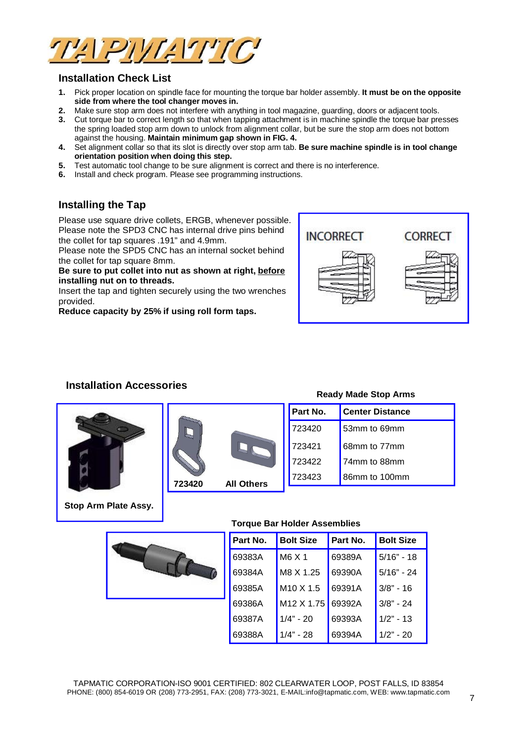

# **Installation Check List**

- **1.** Pick proper location on spindle face for mounting the torque bar holder assembly. **It must be on the opposite side from where the tool changer moves in.**
- **2.** Make sure stop arm does not interfere with anything in tool magazine, guarding, doors or adjacent tools.
- **3.** Cut torque bar to correct length so that when tapping attachment is in machine spindle the torque bar presses the spring loaded stop arm down to unlock from alignment collar, but be sure the stop arm does not bottom against the housing. **Maintain minimum gap shown in FIG. 4.**
- **4.** Set alignment collar so that its slot is directly over stop arm tab. **Be sure machine spindle is in tool change orientation position when doing this step.**
- **5.** Test automatic tool change to be sure alignment is correct and there is no interference.
- **6.** Install and check program. Please see programming instructions.

# **Installing the Tap**

Please use square drive collets, ERGB, whenever possible. Please note the SPD3 CNC has internal drive pins behind the collet for tap squares .191" and 4.9mm.

Please note the SPD5 CNC has an internal socket behind the collet for tap square 8mm.

**Be sure to put collet into nut as shown at right, before installing nut on to threads.**

Insert the tap and tighten securely using the two wrenches provided.

**Reduce capacity by 25% if using roll form taps.**



# **Installation Accessories**







## **Ready Made Stop Arms**

|     | Part No. | <b>Center Distance</b> |
|-----|----------|------------------------|
|     | 723420   | 53mm to 69mm           |
|     | 723421   | 68mm to 77mm           |
|     | 723422   | 74mm to 88mm           |
| ers | 723423   | 86mm to 100mm          |

**Stop Arm Plate Assy.**



### **Torque Bar Holder Assemblies**

| Part No. | <b>Bolt Size</b>       | Part No. | <b>Bolt Size</b> |
|----------|------------------------|----------|------------------|
| 69383A   | M6 X 1                 | 69389A   | $5/16" - 18$     |
| 69384A   | M8 X 1.25              | 69390A   | $5/16" - 24$     |
| 69385A   | $M10 \times 1.5$       | 69391A   | $3/8" - 16$      |
| 69386A   | M <sub>12</sub> X 1.75 | 69392A   | $3/8" - 24$      |
| 69387A   | $1/4" - 20$            | 69393A   | $1/2" - 13$      |
| 69388A   | $1/4" - 28$            | 69394A   | $1/2" - 20$      |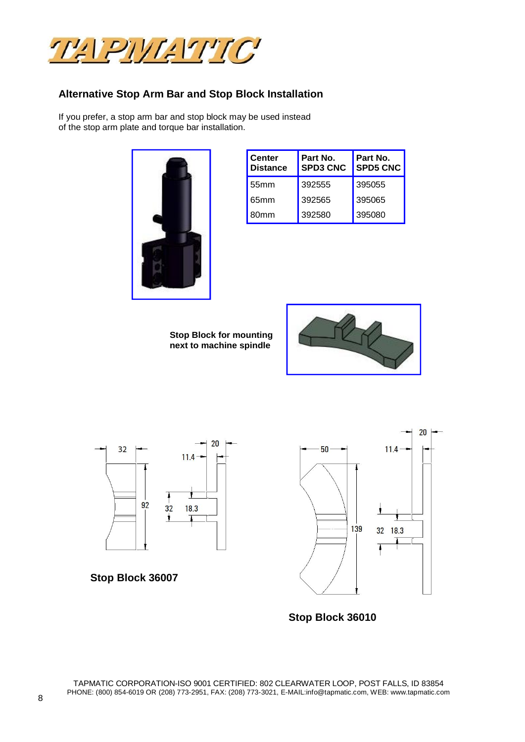

# **Alternative Stop Arm Bar and Stop Block Installation**

If you prefer, a stop arm bar and stop block may be used instead of the stop arm plate and torque bar installation.



| <b>Center</b><br><b>Distance</b> | Part No.<br><b>SPD3 CNC</b> | Part No.<br><b>SPD5 CNC</b> |  |  |
|----------------------------------|-----------------------------|-----------------------------|--|--|
| 55mm                             | 392555                      | 395055                      |  |  |
| 65 <sub>mm</sub>                 | 392565                      | 395065                      |  |  |
| 80mm                             | 392580                      | 395080                      |  |  |

**Stop Block for mounting next to machine spindle**





**Stop Block 36007**



**Stop Block 36010**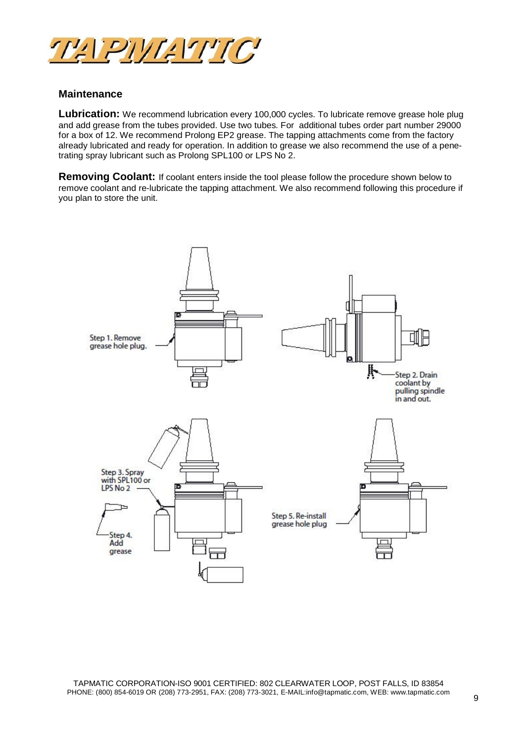

## **Maintenance**

Lubrication: We recommend lubrication every 100,000 cycles. To lubricate remove grease hole plug and add grease from the tubes provided. Use two tubes. For additional tubes order part number 29000 for a box of 12. We recommend Prolong EP2 grease. The tapping attachments come from the factory already lubricated and ready for operation. In addition to grease we also recommend the use of a penetrating spray lubricant such as Prolong SPL100 or LPS No 2.

**Removing Coolant:** If coolant enters inside the tool please follow the procedure shown below to remove coolant and re-lubricate the tapping attachment. We also recommend following this procedure if you plan to store the unit.

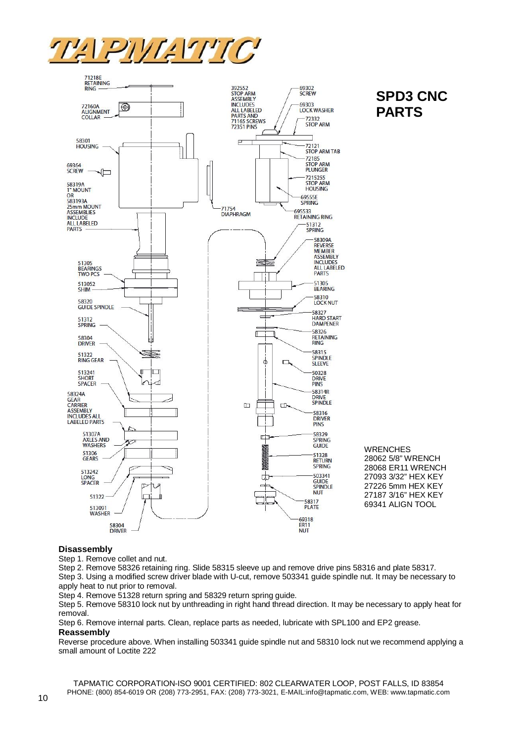



# **SPD3 CNC PARTS**

### **Disassembly**

Step 1. Remove collet and nut.

Step 2. Remove 58326 retaining ring. Slide 58315 sleeve up and remove drive pins 58316 and plate 58317.

Step 3. Using a modified screw driver blade with U-cut, remove 503341 guide spindle nut. It may be necessary to apply heat to nut prior to removal.

Step 4. Remove 51328 return spring and 58329 return spring guide.

Step 5. Remove 58310 lock nut by unthreading in right hand thread direction. It may be necessary to apply heat for removal.

Step 6. Remove internal parts. Clean, replace parts as needed, lubricate with SPL100 and EP2 grease. **Reassembly**

Reverse procedure above. When installing 503341 guide spindle nut and 58310 lock nut we recommend applying a small amount of Loctite 222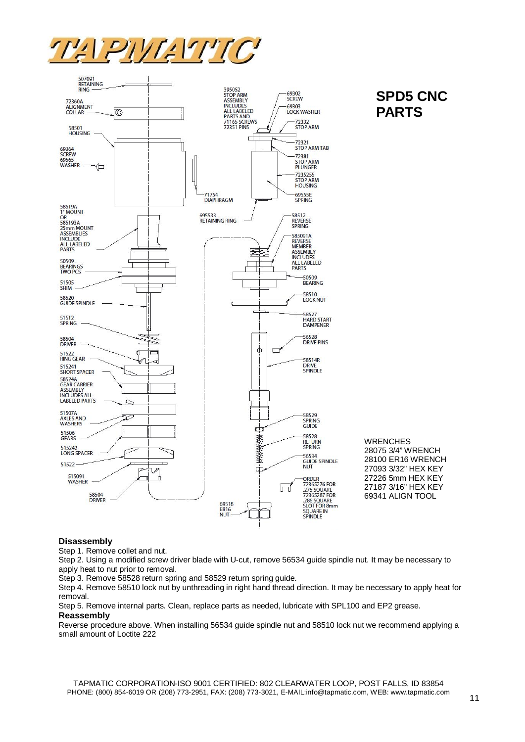



# **SPD5 CNC PARTS**

**WRENCHES** 

28075 3/4" WRENCH 28100 ER16 WRENCH 27093 3/32" HEX KEY 27226 5mm HEX KEY 27187 3/16" HEX KEY 69341 ALIGN TOOL

## **Disassembly**

Step 1. Remove collet and nut.

Step 2. Using a modified screw driver blade with U-cut, remove 56534 guide spindle nut. It may be necessary to apply heat to nut prior to removal.

Step 3. Remove 58528 return spring and 58529 return spring guide.

Step 4. Remove 58510 lock nut by unthreading in right hand thread direction. It may be necessary to apply heat for removal.

Step 5. Remove internal parts. Clean, replace parts as needed, lubricate with SPL100 and EP2 grease. **Reassembly**

Reverse procedure above. When installing 56534 guide spindle nut and 58510 lock nut we recommend applying a small amount of Loctite 222